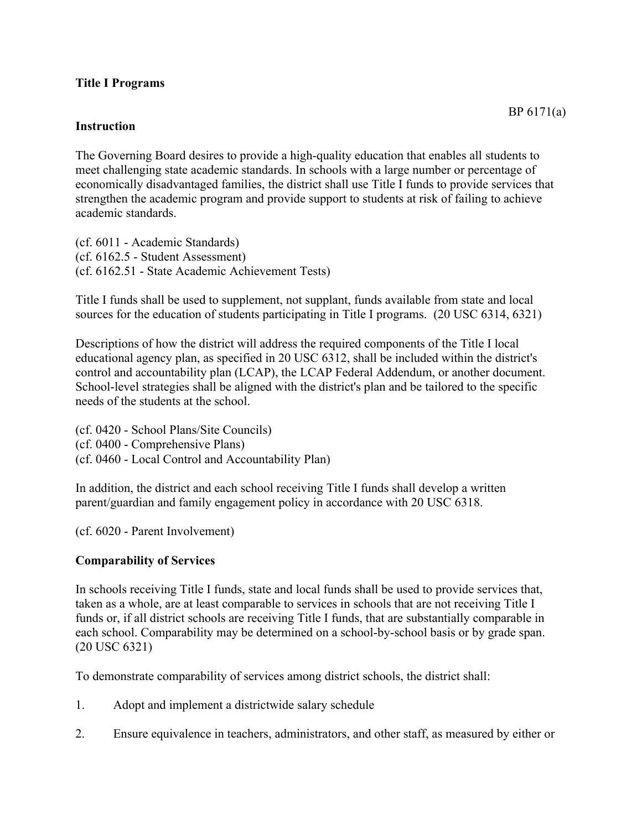### **Title I Programs**

### **Instruction**

The Governing Board desires to provide a high-quality education that enables all students to meet challenging state academic standards. In schools with a large number or percentage of economically disadvantaged families, the district shall use Title I funds to provide services that strengthen the academic program and provide support to students at risk of failing to achieve academic standards.

(cf. 6011 - Academic Standards) (cf. 6162.5 - Student Assessment) (cf. 6162.51 - State Academic Achievement Tests)

Title I funds shall be used to supplement, not supplant, funds available from state and local sources for the education of students participating in Title I programs. (20 USC 6314, 6321)

Descriptions of how the district will address the required components of the Title I local educational agency plan, as specified in 20 USC 6312, shall be included within the district's control and accountability plan (LCAP), the LCAP Federal Addendum, or another document. School-level strategies shall be aligned with the district's plan and be tailored to the specific needs of the students at the school.

(cf. 0420 - School Plans/Site Councils) (cf. 0400 - Comprehensive Plans) (cf. 0460 - Local Control and Accountability Plan)

In addition, the district and each school receiving Title I funds shall develop a written parent/guardian and family engagement policy in accordance with 20 USC 6318.

(cf. 6020 - Parent Involvement)

### **Comparability of Services**

In schools receiving Title I funds, state and local funds shall be used to provide services that, taken as a whole, are at least comparable to services in schools that are not receiving Title I funds or, if all district schools are receiving Title I funds, that are substantially comparable in each school. Comparability may be determined on a school-by-school basis or by grade span. (20 USC 6321)

To demonstrate comparability of services among district schools, the district shall:

- 1. Adopt and implement a districtwide salary schedule
- 2. Ensure equivalence in teachers, administrators, and other staff, as measured by either or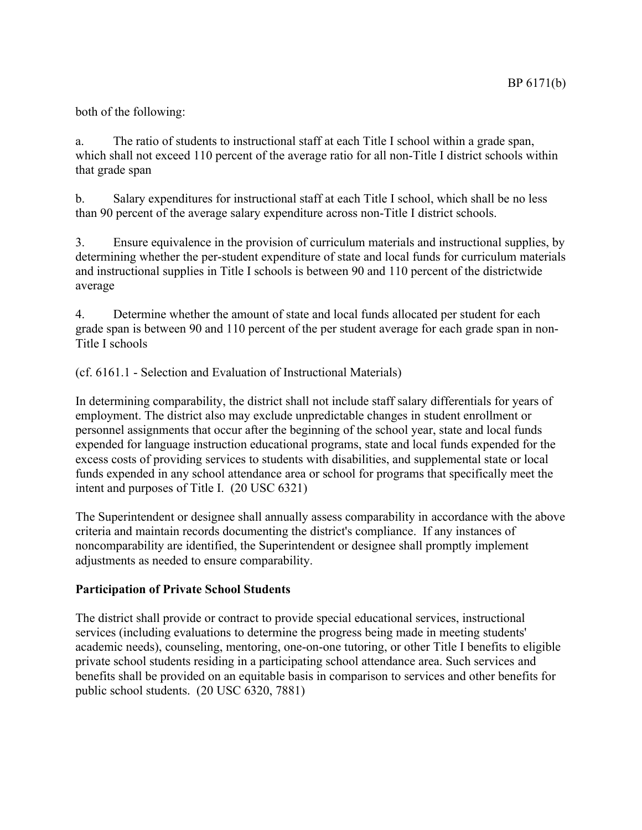## both of the following:

a. The ratio of students to instructional staff at each Title I school within a grade span, which shall not exceed 110 percent of the average ratio for all non-Title I district schools within that grade span

b. Salary expenditures for instructional staff at each Title I school, which shall be no less than 90 percent of the average salary expenditure across non-Title I district schools.

3. Ensure equivalence in the provision of curriculum materials and instructional supplies, by determining whether the per-student expenditure of state and local funds for curriculum materials and instructional supplies in Title I schools is between 90 and 110 percent of the districtwide average

4. Determine whether the amount of state and local funds allocated per student for each grade span is between 90 and 110 percent of the per student average for each grade span in non-Title I schools

(cf. 6161.1 - Selection and Evaluation of Instructional Materials)

In determining comparability, the district shall not include staff salary differentials for years of employment. The district also may exclude unpredictable changes in student enrollment or personnel assignments that occur after the beginning of the school year, state and local funds expended for language instruction educational programs, state and local funds expended for the excess costs of providing services to students with disabilities, and supplemental state or local funds expended in any school attendance area or school for programs that specifically meet the intent and purposes of Title I. (20 USC 6321)

The Superintendent or designee shall annually assess comparability in accordance with the above criteria and maintain records documenting the district's compliance. If any instances of noncomparability are identified, the Superintendent or designee shall promptly implement adjustments as needed to ensure comparability.

### **Participation of Private School Students**

The district shall provide or contract to provide special educational services, instructional services (including evaluations to determine the progress being made in meeting students' academic needs), counseling, mentoring, one-on-one tutoring, or other Title I benefits to eligible private school students residing in a participating school attendance area. Such services and benefits shall be provided on an equitable basis in comparison to services and other benefits for public school students. (20 USC 6320, 7881)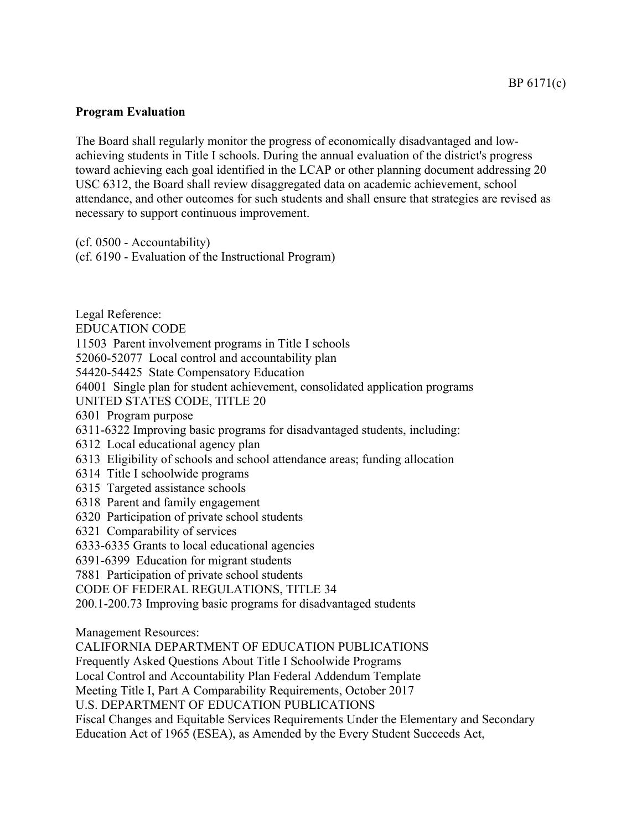# **Program Evaluation**

The Board shall regularly monitor the progress of economically disadvantaged and lowachieving students in Title I schools. During the annual evaluation of the district's progress toward achieving each goal identified in the LCAP or other planning document addressing 20 USC 6312, the Board shall review disaggregated data on academic achievement, school attendance, and other outcomes for such students and shall ensure that strategies are revised as necessary to support continuous improvement.

(cf. 0500 - Accountability)

(cf. 6190 - Evaluation of the Instructional Program)

Legal Reference: EDUCATION CODE 11503 Parent involvement programs in Title I schools 52060-52077 Local control and accountability plan 54420-54425 State Compensatory Education 64001 Single plan for student achievement, consolidated application programs UNITED STATES CODE, TITLE 20 6301 Program purpose 6311-6322 Improving basic programs for disadvantaged students, including: 6312 Local educational agency plan 6313 Eligibility of schools and school attendance areas; funding allocation 6314 Title I schoolwide programs 6315 Targeted assistance schools 6318 Parent and family engagement 6320 Participation of private school students 6321 Comparability of services 6333-6335 Grants to local educational agencies 6391-6399 Education for migrant students 7881 Participation of private school students CODE OF FEDERAL REGULATIONS, TITLE 34 200.1-200.73 Improving basic programs for disadvantaged students Management Resources: CALIFORNIA DEPARTMENT OF EDUCATION PUBLICATIONS Frequently Asked Questions About Title I Schoolwide Programs Local Control and Accountability Plan Federal Addendum Template Meeting Title I, Part A Comparability Requirements, October 2017

U.S. DEPARTMENT OF EDUCATION PUBLICATIONS

Fiscal Changes and Equitable Services Requirements Under the Elementary and Secondary Education Act of 1965 (ESEA), as Amended by the Every Student Succeeds Act,